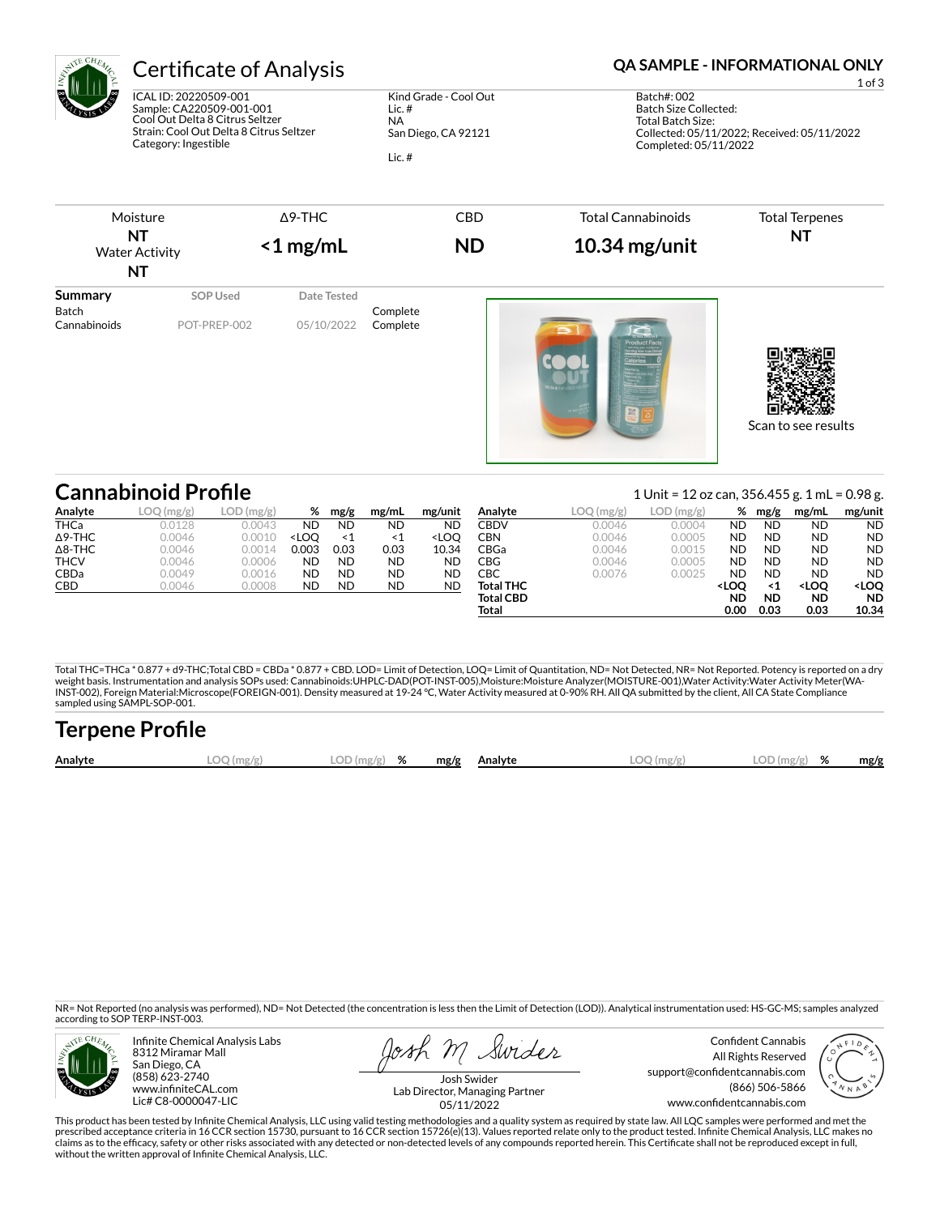

ICAL ID: 20220509-001 Sample: CA220509-001-001 Cool Out Delta 8 Citrus Seltzer Strain: Cool Out Delta 8 Citrus Seltzer Category: Ingestible

Kind Grade - Cool Out Lic. # NA San Diego, CA 92121

Lic. #

# Certificate of Analysis **Certificate of Analysis QA SAMPLE - INFORMATIONAL ONLY**





|                | <b>Cannabinoid Profile</b> |           |                                                                                                                                                                                                                    |           |           |                                                                                                                                |                  |                                          | 1 Unit = 12 oz can, 356.455 g. 1 mL = 0.98 g. |                                                                                                 |           |                                                       |                           |
|----------------|----------------------------|-----------|--------------------------------------------------------------------------------------------------------------------------------------------------------------------------------------------------------------------|-----------|-----------|--------------------------------------------------------------------------------------------------------------------------------|------------------|------------------------------------------|-----------------------------------------------|-------------------------------------------------------------------------------------------------|-----------|-------------------------------------------------------|---------------------------|
| Analyte        | LOQ(mg/g)                  | LOD(mg/g) | %                                                                                                                                                                                                                  | mg/g      | mg/mL     | mg/unit                                                                                                                        | Analyte          | $\textsf{LOQ}\left(\textsf{mg/g}\right)$ | LOD(mg/g)                                     | %                                                                                               | mg/g      | mg/mL                                                 | mg/unit                   |
| <b>THCa</b>    | 0.0128                     | 0.0043    | <b>ND</b>                                                                                                                                                                                                          | <b>ND</b> | <b>ND</b> | <b>ND</b>                                                                                                                      | CBDV             | 0.0046                                   | 0.0004                                        | ND                                                                                              | <b>ND</b> | <b>ND</b>                                             | <b>ND</b>                 |
| $\Delta$ 9-THC | 0.0046                     | 0.0010    | <loo< th=""><th><math>\leq 1</math></th><th><math>\leq 1</math></th><th><loo< th=""><th>CBN</th><th>0.0046</th><th>0.0005</th><th>ND</th><th><b>ND</b></th><th><b>ND</b></th><th><b>ND</b></th></loo<></th></loo<> | $\leq 1$  | $\leq 1$  | <loo< th=""><th>CBN</th><th>0.0046</th><th>0.0005</th><th>ND</th><th><b>ND</b></th><th><b>ND</b></th><th><b>ND</b></th></loo<> | CBN              | 0.0046                                   | 0.0005                                        | ND                                                                                              | <b>ND</b> | <b>ND</b>                                             | <b>ND</b>                 |
| $\Delta$ 8-THC | 0.0046                     | 0.0014    | 0.003                                                                                                                                                                                                              | 0.03      | 0.03      | 10.34                                                                                                                          | CBGa             | 0.0046                                   | 0.0015                                        | ND                                                                                              | <b>ND</b> | <b>ND</b>                                             | <b>ND</b>                 |
| THCV           | 0.0046                     | 0.0006    | <b>ND</b>                                                                                                                                                                                                          | <b>ND</b> | <b>ND</b> | <b>ND</b>                                                                                                                      | CBG              | 0.0046                                   | 0.0005                                        | ND                                                                                              | <b>ND</b> | <b>ND</b>                                             | <b>ND</b>                 |
| <b>CBDa</b>    | 0.0049                     | 0.0016    | <b>ND</b>                                                                                                                                                                                                          | <b>ND</b> | <b>ND</b> | <b>ND</b>                                                                                                                      | СВС              | 0.0076                                   | 0.0025                                        | ND                                                                                              | <b>ND</b> | <b>ND</b>                                             | <b>ND</b>                 |
| <b>CBD</b>     | 0.0046                     | 0.0008    | <b>ND</b>                                                                                                                                                                                                          | <b>ND</b> | <b>ND</b> | <b>ND</b>                                                                                                                      | <b>Total THC</b> |                                          |                                               | <loo< th=""><th>&lt;1</th><th><loo< th=""><th><b><loo< b=""></loo<></b></th></loo<></th></loo<> | <1        | <loo< th=""><th><b><loo< b=""></loo<></b></th></loo<> | <b><loo< b=""></loo<></b> |
|                |                            |           |                                                                                                                                                                                                                    |           |           |                                                                                                                                | <b>Total CBD</b> |                                          |                                               | ND                                                                                              | <b>ND</b> | <b>ND</b>                                             | <b>ND</b>                 |
|                |                            |           |                                                                                                                                                                                                                    |           |           |                                                                                                                                | Total            |                                          |                                               | 0.00                                                                                            | 0.03      | 0.03                                                  | 10.34                     |

Total THC=THCa \* 0.877 + d9-THC;Total CBD = CBDa \* 0.877 + CBD. LOD= Limit of Detection, LOQ= Limit of Quantitation, ND= Not Detected, NR= Not Reported. Potency is reported on a dry<br>weight basis. Instrumentation and analys INST-002), Foreign Material:Microscope(FOREIGN-001). Density measured at 19-24 °C, Water Activity measured at 0-90% RH. All QA submitted by the client, All CA State Compliance sampled using SAMPL-SOP-001.

| <b>Terpene Profile</b> |              |                     |  |              |              |               |      |
|------------------------|--------------|---------------------|--|--------------|--------------|---------------|------|
| Analyte                | $LOO$ (mg/g) | LOD ( $mg/g$ ) $\%$ |  | mg/g Analyte | $LOO$ (mg/g) | $LOD(mg/g)$ % | mg/g |

NR= Not Reported (no analysis was performed), ND= Not Detected (the concentration is less then the Limit of Detection (LOD)). Analytical instrumentation used: HS-GC-MS; samples analyzed according to SOP TERP-INST-003.



Infinite Chemical Analysis Labs 8312 Miramar Mall San Diego, CA (858) 623-2740 www.infiniteCAL.com Lic# C8-0000047-LIC

osh M Swider

Confident Cannabis All Rights Reserved support@confidentcannabis.com (866) 506-5866 www.confidentcannabis.com



Josh Swider Lab Director, Managing Partner 05/11/2022

This product has been tested by Infinite Chemical Analysis, LLC using valid testing methodologies and a quality system as required by state law. All LQC samples were performed and met the prescribed acceptance criteria in 16 CCR section 15730, pursuant to 16 CCR section 15726(e)(13). Values reported relate only to the product tested. Infinite Chemical Analysis, LLC makes no<br>claims as to the efficacy, safety without the written approval of Infinite Chemical Analysis, LLC.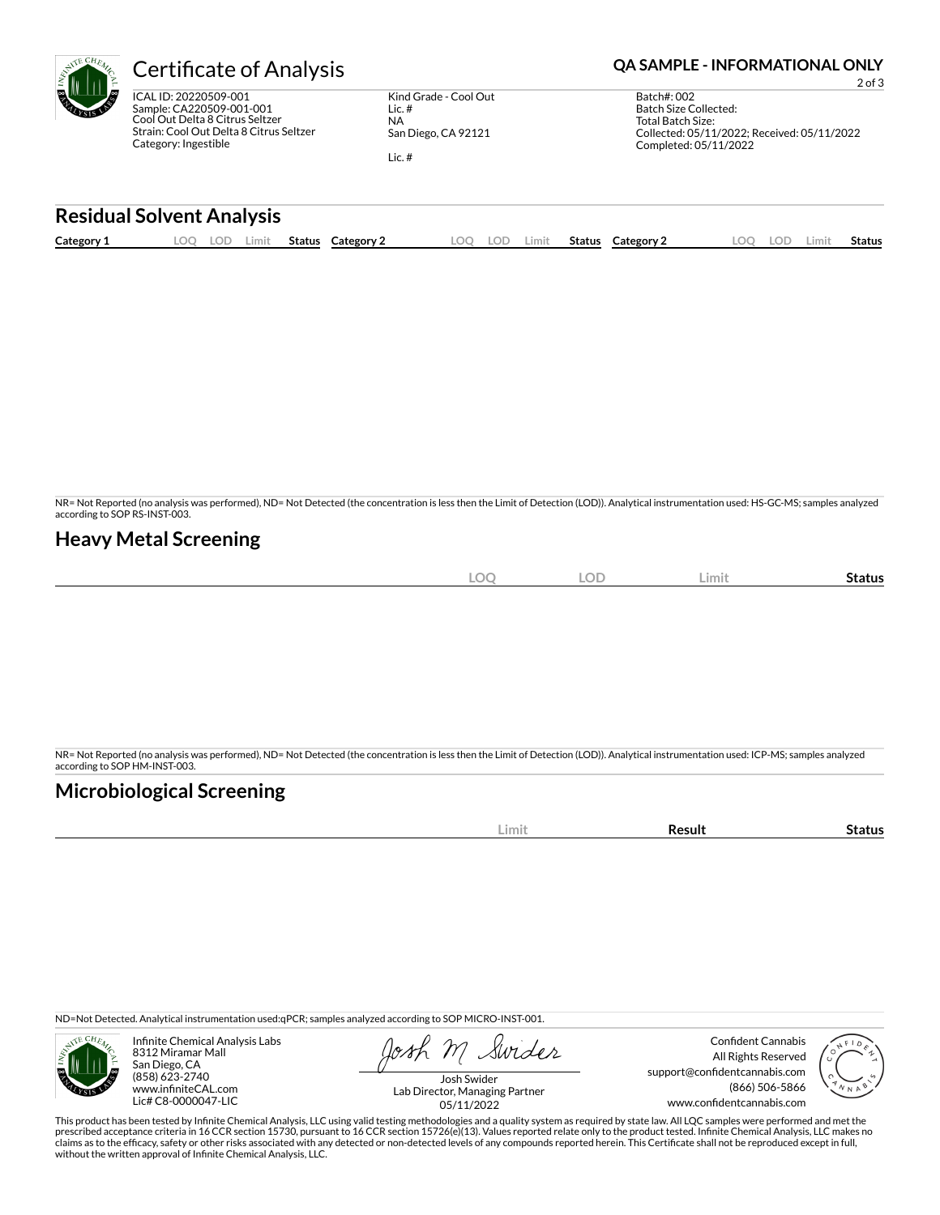| <b>Certificate of Analysis</b>          |                       | <b>QA SAMPLE - INFORMATIONAL ONLY</b><br>$2$ of $3$ |
|-----------------------------------------|-----------------------|-----------------------------------------------------|
| ICAL ID: 20220509-001                   | Kind Grade - Cool Out | Batch#: 002                                         |
| Sample: CA220509-001-001                | Lic.#                 | Batch Size Collected:                               |
| Cool Out Delta 8 Citrus Seltzer         | <b>NA</b>             | Total Batch Size:                                   |
| Strain: Cool Out Delta 8 Citrus Seltzer | San Diego, CA 92121   | Collected: 05/11/2022; Received: 05/11/2022         |
| Category: Ingestible                    | Lic.#                 | Completed: 05/11/2022                               |

## **Residual Solvent Analysis**

|  | Category 1 | $\Omega$ | LOD<br>Limit | Status | Category 2 | LOO | LOD | .imit | Status | Category 2 | LOC | <b>LOD</b> | Limit | <b>Status</b> |
|--|------------|----------|--------------|--------|------------|-----|-----|-------|--------|------------|-----|------------|-------|---------------|
|--|------------|----------|--------------|--------|------------|-----|-----|-------|--------|------------|-----|------------|-------|---------------|

NR= Not Reported (no analysis was performed), ND= Not Detected (the concentration is less then the Limit of Detection (LOD)). Analytical instrumentation used: HS-GC-MS; samples analyzed according to SOP RS-INST-003.

# **Heavy Metal Screening**

|   | <b>LOD</b><br>$\bigcap$ | Limit | -<br><b>status</b> |
|---|-------------------------|-------|--------------------|
| ∽ | $\sim$                  |       |                    |

NR= Not Reported (no analysis was performed), ND= Not Detected (the concentration is less then the Limit of Detection (LOD)). Analytical instrumentation used: ICP-MS; samples analyzed according to SOP HM-INST-003.

# **Microbiological Screening**

| ---- |  |
|------|--|

ND=Not Detected. Analytical instrumentation used:qPCR; samples analyzed according to SOP MICRO-INST-001.



Infinite Chemical Analysis Labs 8312 Miramar Mall San Diego, CA (858) 623-2740 www.infiniteCAL.com Lic# C8-0000047-LIC

Swider

Confident Cannabis All Rights Reserved support@confidentcannabis.com (866) 506-5866 www.confidentcannabis.com



Josh Swider Lab Director, Managing Partner 05/11/2022

This product has been tested by Infinite Chemical Analysis, LLC using valid testing methodologies and a quality system as required by state law. All LQC samples were performed and met the prescribed acceptance criteria in 16 CCR section 15730, pursuant to 16 CCR section 15726(e)(13). Values reported relate only to the product tested. Infinite Chemical Analysis, LLC makes no<br>claims as to the efficacy, safety without the written approval of Infinite Chemical Analysis, LLC.